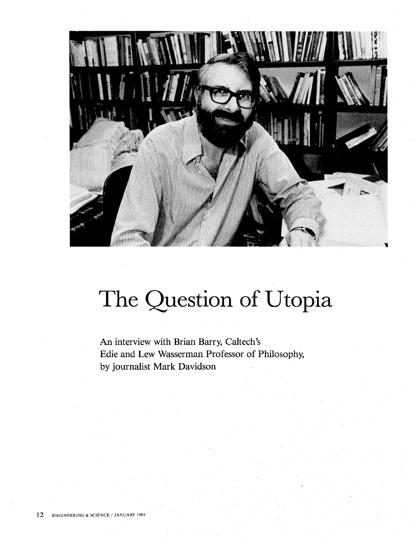

## **The Question of Utopia**

**An interview with Brian Barry, Caltech's Edie and Lew Wasserman Professor of Philosophy, by journalist Mark Davidson**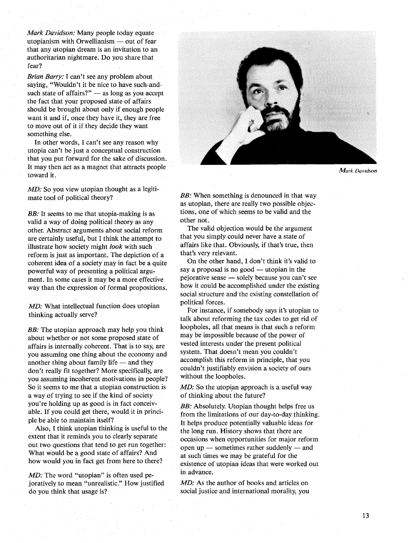*Mark Davidson:* Many people today equate utopianism with Orwellianism  $-$  out of fear that any utopian dream is an invitation to an authoritarian nightmare. Do you share that fear?

*Brian Barry:* I can't see any problem about saying, "Wouldn't it be nice to have such-andsuch state of affairs?"  $-$  as long as you accept the fact that your proposed state of affairs should be brought about only if enough people want it and if, once they have it, they are free to move out of it if they decide they want something else.

In other words, I can't see any reason why utopia can't be just a conceptual construction that you put forward for the sake of discussion. It may then act as a magnet that attracts people toward it.

*MD:* So you view utopian thought as a legitimate tool of political theory?

*BB*: It seems to me that utopia-making is as valid a way of doing political theory as any other. Abstract arguments about social reform are certainly useful, but I think the attempt to illustrate how society might *look* with such reform is just as important. The depiction of a coherent idea of a society may in fact be a quite powerful way of presenting a political argument. In some cases it may be a more effective way than the expression of formal propositions.

*MD:* What intellectual function does utopian thinking actually serve?

*BB:* The utopian approach may help you think about whether or not some proposed state of affairs is internally coherent. That is to say, are you assuming one thing about the economy and another thing about family life  $-$  and they don't really fit together? More specifically, are you assuming incoherent motivations in people? So it seems to me that a utopian construction is a way of trying to see if the kind of society you're holding up as good is in fact conceivable. If you could get there, would it in principlebe able to maintain itself?

Also, I think utopian thinking is useful to the extent that it reminds you to clearly separate out two questions that tend to get run together: What would be a good state of affairs? And how would you in fact get from here to there?

*MD*: The word "utopian" is often used pejoratively to mean "unrealistic." How justified do you think that usage is?



*Mark Davidson* 

**BB:** When something is denounced in that way as utopian, there are really two possible objections, one of which seems to be valid and the other not.

The valid objection would be the argument that you simply could never have a state of affairs like that. Obviously, if that's true, then that's very relevant.

On the other hand, I don't think it's valid to say a proposal is no good  $-$  utopian in the pejorative sense - solely because you can't see how it could be accomplished under the existing social structure and the existing constellation of political forces.

For instance, if somebody says it's utopian to talk about reforming the tax codes to get rid of loopholes, all that means is that such a reform may be impossible because of the power of vested interests under' the present political system. That doesn't mean you couldn't accomplish this reform in principle, that you couldn't justifiably envision a society of ours without the loopholes.

*MD:* So the utopian approach is a useful way of thinking about the future?

**BB:** Absolutely. Utopian thought helps free us from the limitations of our day-to-day thinking. It helps produce potentially valuable ideas for the long run. History shows that there are occasions when opportunities for major reform open up  $-$  sometimes rather suddenly  $-$  and at such times we may be grateful for the existence of utopian ideas that were worked out in advance.

MD: As the author of books and articles on social justice and international morality, you